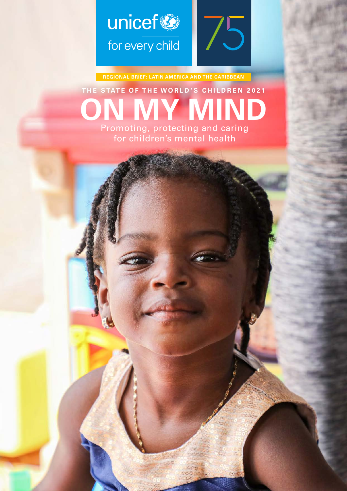

**REGIONAL BRIEF: LATIN AMERICA AND THE CARIBBEAN**

### **ON MY MIND THE STATE OF THE WORLD 'S CHILDREN 2021** Promoting, protecting and caring for children's mental health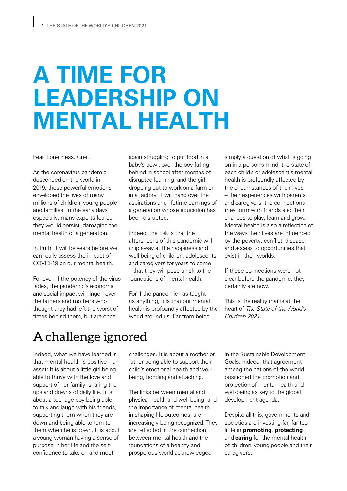## **A TIME FOR LEADERSHIP ON MENTAL HEALTH**

Fear. Loneliness. Grief.

As the coronavirus pandemic descended on the world in 2019, these powerful emotions enveloped the lives of many millions of children, young people and families. In the early days especially, many experts feared they would persist, damaging the mental health of a generation.

In truth, it will be years before we can really assess the impact of COVID-19 on our mental health.

For even if the potency of the virus fades, the pandemic's economic and social impact will linger: over the fathers and mothers who thought they had left the worst of times behind them, but are once

again struggling to put food in a baby's bowl; over the boy falling behind in school after months of disrupted learning; and the girl dropping out to work on a farm or in a factory. It will hang over the aspirations and lifetime earnings of a generation whose education has been disrupted.

Indeed, the risk is that the aftershocks of this pandemic will chip away at the happiness and well-being of children, adolescents and caregivers for years to come – that they will pose a risk to the foundations of mental health.

For if the pandemic has taught us anything, it is that our mental health is profoundly affected by the world around us. Far from being

simply a question of what is going on in a person's mind, the state of each child's or adolescent's mental health is profoundly affected by the circumstances of their lives – their experiences with parents and caregivers, the connections they form with friends and their chances to play, learn and grow. Mental health is also a reflection of the ways their lives are influenced by the poverty, conflict, disease and access to opportunities that exist in their worlds.

If these connections were not clear before the pandemic, they certainly are now.

This is the reality that is at the heart of The State of the World's Children 2021.

### A challenge ignored

Indeed, what we have learned is that mental health is positive – an asset: It is about a little girl being able to thrive with the love and support of her family, sharing the ups and downs of daily life. It is about a teenage boy being able to talk and laugh with his friends, supporting them when they are down and being able to turn to them when he is down. It is about a young woman having a sense of purpose in her life and the selfconfidence to take on and meet

challenges. It is about a mother or father being able to support their child's emotional health and wellbeing, bonding and attaching.

The links between mental and physical health and well-being, and the importance of mental health in shaping life outcomes, are increasingly being recognized. They are reflected in the connection between mental health and the foundations of a healthy and prosperous world acknowledged

in the Sustainable Development Goals. Indeed, that agreement among the nations of the world positioned the promotion and protection of mental health and well-being as key to the global development agenda.

Despite all this, governments and societies are investing far, far too little in **promoting**, **protecting** and **caring** for the mental health of children, young people and their caregivers.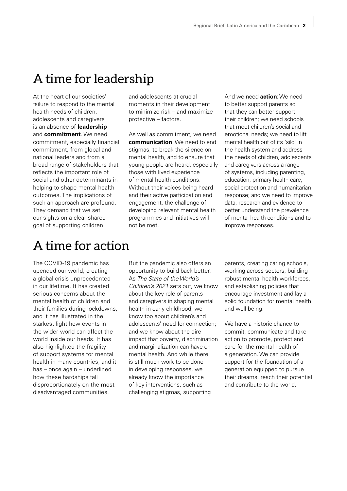### A time for leadership

At the heart of our societies' failure to respond to the mental health needs of children, adolescents and caregivers is an absence of **leadership**  and **commitment**. We need commitment, especially financial commitment, from global and national leaders and from a broad range of stakeholders that reflects the important role of social and other determinants in helping to shape mental health outcomes. The implications of such an approach are profound. They demand that we set our sights on a clear shared goal of supporting children

### A time for action

The COVID-19 pandemic has upended our world, creating a global crisis unprecedented in our lifetime. It has created serious concerns about the mental health of children and their families during lockdowns, and it has illustrated in the starkest light how events in the wider world can affect the world inside our heads. It has also highlighted the fragility of support systems for mental health in many countries, and it has – once again – underlined how these hardships fall disproportionately on the most disadvantaged communities.

and adolescents at crucial moments in their development to minimize risk – and maximize protective – factors.

As well as commitment, we need **communication**: We need to end stigmas, to break the silence on mental health, and to ensure that young people are heard, especially those with lived experience of mental health conditions. Without their voices being heard and their active participation and engagement, the challenge of developing relevant mental health programmes and initiatives will not be met.

And we need **action**: We need to better support parents so that they can better support their children; we need schools that meet children's social and emotional needs; we need to lift mental health out of its 'silo' in the health system and address the needs of children, adolescents and caregivers across a range of systems, including parenting, education, primary health care, social protection and humanitarian response; and we need to improve data, research and evidence to better understand the prevalence of mental health conditions and to improve responses.

But the pandemic also offers an opportunity to build back better. As The State of the World's Children's 2021 sets out, we know about the key role of parents and caregivers in shaping mental health in early childhood; we know too about children's and adolescents' need for connection; and we know about the dire impact that poverty, discrimination and marginalization can have on mental health. And while there is still much work to be done in developing responses, we already know the importance of key interventions, such as challenging stigmas, supporting

parents, creating caring schools, working across sectors, building robust mental health workforces, and establishing policies that encourage investment and lay a solid foundation for mental health and well-being.

We have a historic chance to commit, communicate and take action to promote, protect and care for the mental health of a generation. We can provide support for the foundation of a generation equipped to pursue their dreams, reach their potential and contribute to the world.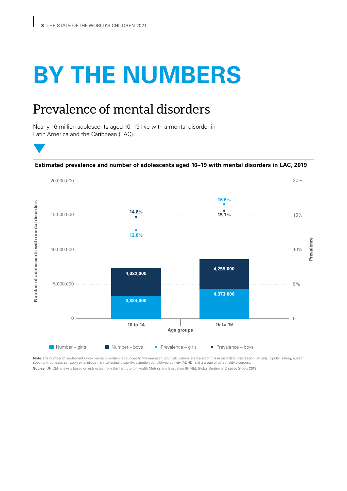# **BY THE NUMBERS**

### Prevalence of mental disorders

Nearly 16 million adolescents aged 10–19 live with a mental disorder in Latin America and the Caribbean (LAC).



**Note**: The number of adolescents with mental disorders is rounded to the nearest 1,000; calculations are based on these disorders: depression, anxiety, bipolar, eating, autism spectrum, conduct, schizophrenia, idiopathic intellectual disability, attention deficit/hyperactivity (ADHD) and a group of personality disorders.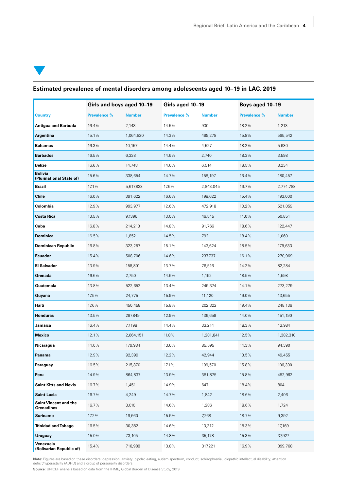### **Estimated prevalence of mental disorders among adolescents aged 10–19 in LAC, 2019**

|                                            | Girls and boys aged 10-19 |               | Girls aged 10-19    |               | Boys aged 10-19 |               |
|--------------------------------------------|---------------------------|---------------|---------------------|---------------|-----------------|---------------|
| <b>Country</b>                             | Prevalence %              | <b>Number</b> | <b>Prevalence %</b> | <b>Number</b> | Prevalence %    | <b>Number</b> |
| <b>Antigua and Barbuda</b>                 | 16.4%                     | 2,143         | 14.5%               | 930           | 18.2%           | 1,213         |
| Argentina                                  | 15.1%                     | 1,064,820     | 14.3%               | 499,278       | 15.8%           | 565,542       |
| <b>Bahamas</b>                             | 16.3%                     | 10,157        | 14.4%               | 4,527         | 18.2%           | 5,630         |
| <b>Barbados</b>                            | 16.5%                     | 6,338         | 14.6%               | 2,740         | 18.3%           | 3,598         |
| <b>Belize</b>                              | 16.6%                     | 14,748        | 14.6%               | 6,514         | 18.5%           | 8,234         |
| <b>Bolivia</b><br>(Plurinational State of) | 15.6%                     | 338,654       | 14.7%               | 158,197       | 16.4%           | 180,457       |
| <b>Brazil</b>                              | 17.1%                     | 5,617,833     | 17.6%               | 2,843,045     | 16.7%           | 2,774,788     |
| <b>Chile</b>                               | 16.0%                     | 391,622       | 16.6%               | 198,622       | 15.4%           | 193,000       |
| Colombia                                   | 12.9%                     | 993,977       | 12.6%               | 472,918       | 13.2%           | 521,059       |
| <b>Costa Rica</b>                          | 13.5%                     | 97,396        | 13.0%               | 46,545        | 14.0%           | 50,851        |
| Cuba                                       | 16.8%                     | 214,213       | 14.8%               | 91,766        | 18.6%           | 122,447       |
| <b>Dominica</b>                            | 16.5%                     | 1,852         | 14.5%               | 792           | 18.4%           | 1,060         |
| <b>Dominican Republic</b>                  | 16.8%                     | 323,257       | 15.1%               | 143,624       | 18.5%           | 179,633       |
| <b>Ecuador</b>                             | 15.4%                     | 508,706       | 14.6%               | 237,737       | 16.1%           | 270,969       |
| <b>El Salvador</b>                         | 13.9%                     | 158,801       | 13.7%               | 76,516        | 14.2%           | 82,284        |
| Grenada                                    | 16.6%                     | 2,750         | 14.6%               | 1,152         | 18.5%           | 1,598         |
| Guatemala                                  | 13.8%                     | 522,652       | 13.4%               | 249,374       | 14.1%           | 273,279       |
| Guyana                                     | 17.5%                     | 24,775        | 15.9%               | 11,120        | 19.0%           | 13,655        |
| Haiti                                      | 17.6%                     | 450,458       | 15.8%               | 202,322       | 19.4%           | 248,136       |
| <b>Honduras</b>                            | 13.5%                     | 287,849       | 12.9%               | 136,659       | 14.0%           | 151,190       |
| Jamaica                                    | 16.4%                     | 77,198        | 14.4%               | 33,214        | 18.3%           | 43,984        |
| <b>Mexico</b>                              | 12.1%                     | 2,664,151     | 11.8%               | 1,281,841     | 12.5%           | 1,382,310     |
| Nicaragua                                  | 14.0%                     | 179,984       | 13.6%               | 85,595        | 14.3%           | 94,390        |
| Panama                                     | 12.9%                     | 92,399        | 12.2%               | 42,944        | 13.5%           | 49,455        |
| Paraguay                                   | 16.5%                     | 215,870       | 17.1%               | 109,570       | 15.8%           | 106,300       |
| Peru                                       | 14.9%                     | 864,837       | 13.9%               | 381,875       | 15.8%           | 482,962       |
| <b>Saint Kitts and Nevis</b>               | 16.7%                     | 1,451         | 14.9%               | 647           | 18.4%           | 804           |
| <b>Saint Lucia</b>                         | 16.7%                     | 4,249         | 14.7%               | 1,842         | 18.6%           | 2,406         |
| <b>Saint Vincent and the</b><br>Grenadines | 16.7%                     | 3,010         | 14.6%               | 1,286         | 18.6%           | 1,724         |
| <b>Suriname</b>                            | 17.2%                     | 16,660        | 15.5%               | 7,268         | 18.7%           | 9,392         |
| <b>Trinidad and Tobago</b>                 | 16.5%                     | 30,382        | 14.6%               | 13,212        | 18.3%           | 17,169        |
| <b>Uruguay</b>                             | 15.0%                     | 73,105        | 14.8%               | 35,178        | 15.3%           | 37,927        |
| Venezuela<br>(Bolivarian Republic of)      | 15.4%                     | 716,988       | 13.8%               | 317,221       | 16.9%           | 399,768       |

**Note:** Figures are based on these disorders: depression, anxiety, bipolar, eating, autism spectrum, conduct, schizophrenia, idiopathic intellectual disability, attention<br>deficit/hyperactivity (ADHD) and a group of persona

**Source**: UNICEF analysis based on data from the IHME, Global Burden of Disease Study, 2019.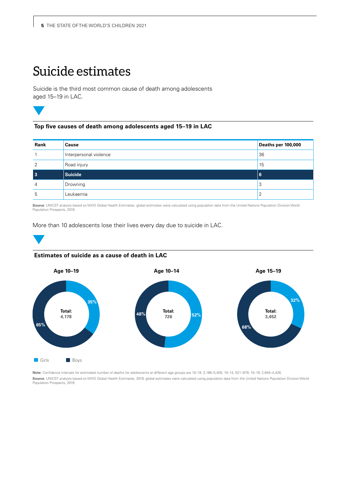### Suicide estimates

Suicide is the third most common cause of death among adolescents aged 15–19 in LAC.



### **Top five causes of death among adolescents aged 15–19 in LAC**

| Rank           | Cause                  | Deaths per 100,000 |
|----------------|------------------------|--------------------|
|                | Interpersonal violence | 36                 |
| 2              | Road injury            | 15                 |
| 3              | Suicide                | 6                  |
| $\overline{4}$ | Drowning               | 3                  |
| 5              | Leukaemia              | 2                  |

**Source**: UNICEF analysis based on WHO Global Health Estimates; global estimates were calculated using population data from the United Nations Population Division World<br>Population Prospects, 2019.

#### More than 10 adolescents lose their lives every day due to suicide in LAC.





**Note**: Confidence intervals for estimated number of deaths for adolescents at different age groups are 10–19, 3,166–5,405; 10–14, 521–979; 15–19, 2,645–4,426. **Source**: UNICEF analysis based on WHO Global Health Estimates, 2019; global estimates were calculated using population data from the United Nations Population Division World Population Prospects, 2019.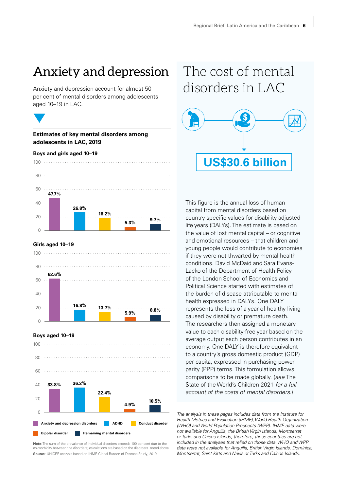### Anxiety and depression

Anxiety and depression account for almost 50 per cent of mental disorders among adolescents aged 10–19 in LAC.



#### **Estimates of key mental disorders among adolescents in LAC, 2019**

#### **Boys and girls aged 10–19**



#### **Girls aged 10–19**





**Note**: The sum of the prevalence of individual disorders exceeds 100 per cent due to the co-morbidity between the disorders; calculations are based on the disorders noted above. **Source**: UNICEF analysis based on IHME Global Burden of Disease Study, 2019.

### The cost of mental disorders in LAC



This figure is the annual loss of human capital from mental disorders based on country-specific values for disability-adjusted life years (DALYs). The estimate is based on the value of lost mental capital – or cognitive and emotional resources – that children and young people would contribute to economies if they were not thwarted by mental health conditions. David McDaid and Sara Evans-Lacko of the Department of Health Policy of the London School of Economics and Political Science started with estimates of the burden of disease attributable to mental health expressed in DALYs. One DALY represents the loss of a year of healthy living caused by disability or premature death. The researchers then assigned a monetary value to each disability-free year based on the average output each person contributes in an economy. One DALY is therefore equivalent to a country's gross domestic product (GDP) per capita, expressed in purchasing power parity (PPP) terms. This formulation allows comparisons to be made globally. (see The State of the World's Children 2021 for a full account of the costs of mental disorders.)

Health Metrics and Evaluation (IHME), World Health Organization (WHO) and World Population Prospects (WPP). IHME data were not available for Anguilla, the British Virgin Islands, Montserrat or Turks and Caicos Islands, therefore, these countries are not included in the analyses that relied on those data. WHO and WPP data were not available for Anguilla, British Virgin Islands, Dominica, Montserrat, Saint Kitts and Nevis or Turks and Caicos Islands.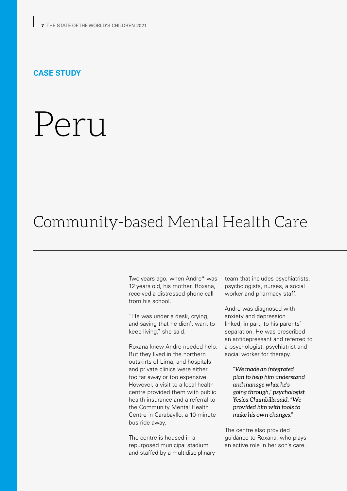### **CASE STUDY**

# Peru

### Community-based Mental Health Care

Two years ago, when Andre\* was 12 years old, his mother, Roxana, received a distressed phone call from his school.

"He was under a desk, crying, and saying that he didn't want to keep living," she said.

Roxana knew Andre needed help. But they lived in the northern outskirts of Lima, and hospitals and private clinics were either too far away or too expensive. However, a visit to a local health centre provided them with public health insurance and a referral to the Community Mental Health Centre in Carabayllo, a 10-minute bus ride away.

The centre is housed in a repurposed municipal stadium and staffed by a multidisciplinary team that includes psychiatrists, psychologists, nurses, a social worker and pharmacy staff.

Andre was diagnosed with anxiety and depression linked, in part, to his parents' separation. He was prescribed an antidepressant and referred to a psychologist, psychiatrist and social worker for therapy.

*"We made an integrated plan to help him understand and manage what he's going through," psychologist Yesica Chambilla said. "We provided him with tools to make his own changes."* 

The centre also provided guidance to Roxana, who plays an active role in her son's care.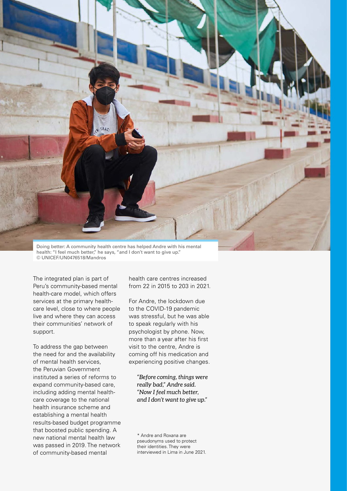

Doing better: A community health centre has helped Andre with his mental health: "I feel much better," he says, "and I don't want to give up." © UNICEF/UN0476518/Mandros

The integrated plan is part of Peru's community-based mental health-care model, which offers services at the primary healthcare level, close to where people live and where they can access their communities' network of support.

To address the gap between the need for and the availability of mental health services, the Peruvian Government instituted a series of reforms to expand community-based care, including adding mental healthcare coverage to the national health insurance scheme and establishing a mental health results-based budget programme that boosted public spending. A new national mental health law was passed in 2019. The network of community-based mental

health care centres increased from 22 in 2015 to 203 in 2021.

For Andre, the lockdown due to the COVID-19 pandemic was stressful, but he was able to speak regularly with his psychologist by phone. Now, more than a year after his first visit to the centre, Andre is coming off his medication and experiencing positive changes.

*"Before coming, things were really bad," Andre said. "Now I feel much better, and I don't want to give up."* 

\* Andre and Roxana are pseudonyms used to protect their identities. They were interviewed in Lima in June 2021.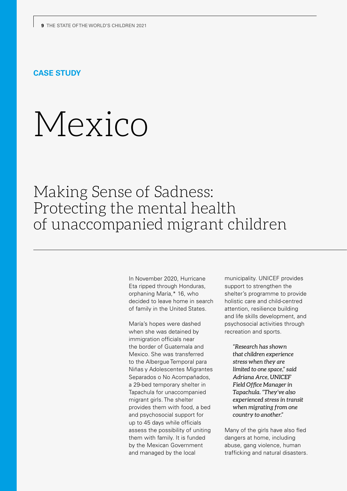### **CASE STUDY**

# Mexico

Making Sense of Sadness: Protecting the mental health of unaccompanied migrant children

> In November 2020, Hurricane Eta ripped through Honduras, orphaning María,\* 16, who decided to leave home in search of family in the United States.

María's hopes were dashed when she was detained by immigration officials near the border of Guatemala and Mexico. She was transferred to the Albergue Temporal para Niñas y Adolescentes Migrantes Separados o No Acompañados, a 29-bed temporary shelter in Tapachula for unaccompanied migrant girls. The shelter provides them with food, a bed and psychosocial support for up to 45 days while officials assess the possibility of uniting them with family. It is funded by the Mexican Government and managed by the local

municipality. UNICEF provides support to strengthen the shelter's programme to provide holistic care and child-centred attention, resilience building and life skills development, and psychosocial activities through recreation and sports.

*"Research has shown that children experience stress when they are limited to one space," said Adriana Arce, UNICEF Field Office Manager in Tapachula. "They've also experienced stress in transit when migrating from one country to another."*

Many of the girls have also fled dangers at home, including abuse, gang violence, human trafficking and natural disasters.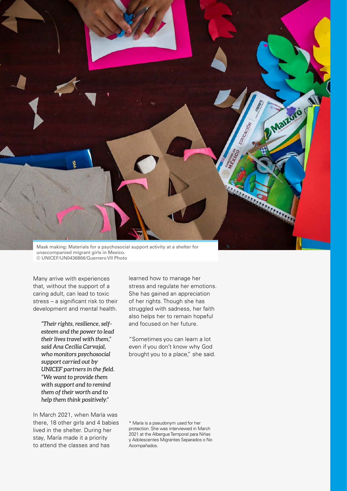

unaccompanied migrant girls in Mexico. © UNICEF/UN0436866/Guerrero VII Photo

Many arrive with experiences that, without the support of a caring adult, can lead to toxic stress – a significant risk to their development and mental health.

*"Their rights, resilience, selfesteem and the power to lead their lives travel with them," said Ana Cecilia Carvajal, who monitors psychosocial support carried out by UNICEF partners in the field. "We want to provide them with support and to remind them of their worth and to help them think positively."*

In March 2021, when María was there, 18 other girls and 4 babies lived in the shelter. During her stay, María made it a priority to attend the classes and has

learned how to manage her stress and regulate her emotions. She has gained an appreciation of her rights. Though she has struggled with sadness, her faith also helps her to remain hopeful and focused on her future.

"Sometimes you can learn a lot even if you don't know why God brought you to a place," she said.

\* María is a pseudonym used for her protection. She was interviewed in March 2021 at the Albergue Temporal para Niñas y Adolescentes Migrantes Separados o No Acompañados.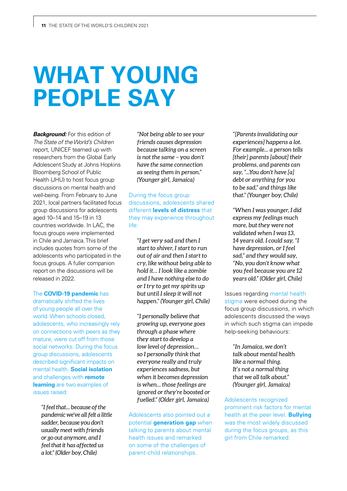# **WHAT YOUNG PEOPLE SAY**

**Background:** For this edition of The State of the World's Children report, UNICEF teamed up with researchers from the Global Early Adolescent Study at Johns Hopkins Bloomberg School of Public Health (JHU) to host focus group discussions on mental health and well-being. From February to June 2021, local partners facilitated focus group discussions for adolescents aged 10–14 and 15–19 in 13 countries worldwide. In LAC, the focus groups were implemented in Chile and Jamaica. This brief includes quotes from some of the adolescents who participated in the focus groups. A fuller companion report on the discussions will be released in 2022.

The **COVID-19 pandemic** has dramatically shifted the lives of young people all over the world. When schools closed, adolescents, who increasingly rely on connections with peers as they mature, were cut off from those social networks. During the focus group discussions, adolescents described significant impacts on mental health. **Social isolation** and challenges with **remote learning** are two examples of issues raised:

*"I feel that... because of the pandemic we've all felt a little sadder, because you don't usually meet with friends or go out anymore, and I feel that it has affected us a lot." (Older boy, Chile)*

*"Not being able to see your friends causes depression because talking on a screen is not the same – you don't have the same connection as seeing them in person." (Younger girl, Jamaica)*

During the focus group discussions, adolescents shared different **levels of distress** that they may experience throughout life:

*"I get very sad and then I start to shiver, I start to run out of air and then I start to cry, like without being able to hold it… I look like a zombie and I have nothing else to do or I try to get my spirits up but until I sleep it will not happen." (Younger girl, Chile)*

*"I personally believe that growing up, everyone goes through a phase where they start to develop a low level of depression… so I personally think that everyone really and truly experiences sadness, but when it becomes depression is when... those feelings are ignored or they're boosted or fuelled." (Older girl, Jamaica)*

Adolescents also pointed out a potential **generation gap** when talking to parents about mental health issues and remarked on some of the challenges of parent -child relationships.

*"[Parents invalidating our experiences] happens a lot. For example... a person tells [their] parents [about] their problems, and parents can say, "...You don't have [a] debt or anything for you to be sad," and things like that." (Younger boy, Chile)*

*"When I was younger, I did express my feelings much more, but they were not validated when I was 13, 14 years old. I could say, "I have depression, or I feel sad," and they would say, "No, you don't know what you feel because you are 12 years old." (Older girl, Chile)* 

Issues regarding mental health stigma were echoed during the focus group discussions, in which adolescents discussed the ways in which such stigma can impede help-seeking behaviours:

*"In Jamaica, we don't talk about mental health like a normal thing. It's not a normal thing that we all talk about." (Younger girl, Jamaica)*

Adolescents recognized prominent risk factors for mental health at the peer level. **Bullying** was the most widely discussed during the focus groups, as this girl from Chile remarked: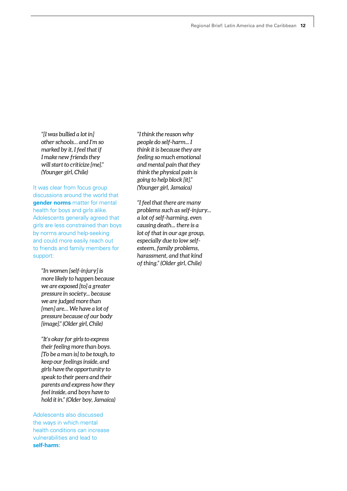*"[I was bullied a lot in] other schools… and I'm so marked by it, I feel that if I make new friends they will start to criticize [me]." (Younger girl, Chile)*

It was clear from focus group discussions around the world that **gender norms** matter for mental health for boys and girls alike. Adolescents generally agreed that girls are less constrained than boys by norms around help-seeking and could more easily reach out to friends and family members for support:

*"In women [self-injury] is more likely to happen because we are exposed [to] a greater pressure in society... because we are judged more than [men] are… We have a lot of pressure because of our body [image]." (Older girl, Chile)* 

*"It's okay for girls to express their feeling more than boys. [To be a man is] to be tough, to keep our feelings inside, and girls have the opportunity to speak to their peers and their parents and express how they feel inside, and boys have to hold it in." (Older boy, Jamaica)* 

Adolescents also discussed the ways in which mental health conditions can increase vulnerabilities and lead to **self-harm:**

*"I think the reason why people do self-harm... I think it is because they are feeling so much emotional and mental pain that they think the physical pain is going to help block [it]." (Younger girl, Jamaica)*

*"I feel that there are many problems such as self-injury... a lot of self-harming, even causing death... there is a lot of that in our age group, especially due to low selfesteem, family problems, harassment, and that kind of thing." (Older girl, Chile)*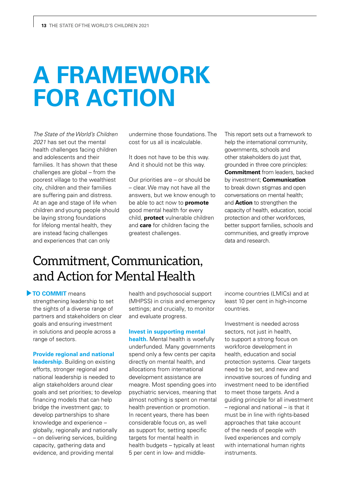## **A FRAMEWORK FOR ACTION**

The State of the World's Children 2021 has set out the mental health challenges facing children and adolescents and their families. It has shown that these challenges are global – from the poorest village to the wealthiest city, children and their families are suffering pain and distress. At an age and stage of life when children and young people should be laying strong foundations for lifelong mental health, they are instead facing challenges and experiences that can only

undermine those foundations. The cost for us all is incalculable.

It does not have to be this way. And it should not be this way.

Our priorities are – or should be – clear. We may not have all the answers, but we know enough to be able to act now to **promote** good mental health for every child, **protect** vulnerable children and **care** for children facing the greatest challenges.

This report sets out a framework to help the international community, governments, schools and other stakeholders do just that, grounded in three core principles: **Commitment** from leaders, backed by investment; **Communication** to break down stigmas and open conversations on mental health; and **Action** to strengthen the capacity of health, education, social protection and other workforces, better support families, schools and communities, and greatly improve data and research.

### Commitment, Communication, and Action for Mental Health

### **TO COMMIT** means

strengthening leadership to set the sights of a diverse range of partners and stakeholders on clear goals and ensuring investment in solutions and people across a range of sectors.

#### **Provide regional and national**

**leadership.** Building on existing efforts, stronger regional and national leadership is needed to align stakeholders around clear goals and set priorities; to develop financing models that can help bridge the investment gap; to develop partnerships to share knowledge and experience – globally, regionally and nationally – on delivering services, building capacity, gathering data and evidence, and providing mental

health and psychosocial support (MHPSS) in crisis and emergency settings; and crucially, to monitor and evaluate progress.

#### **Invest in supporting mental**

**health.** Mental health is woefully underfunded. Many governments spend only a few cents per capita directly on mental health, and allocations from international development assistance are meagre. Most spending goes into psychiatric services, meaning that almost nothing is spent on mental health prevention or promotion. In recent years, there has been considerable focus on, as well as support for, setting specific targets for mental health in health budgets – typically at least 5 per cent in low- and middleincome countries (LMICs) and at least 10 per cent in high-income countries.

Investment is needed across sectors, not just in health, to support a strong focus on workforce development in health, education and social protection systems. Clear targets need to be set, and new and innovative sources of funding and investment need to be identified to meet those targets. And a guiding principle for all investment – regional and national – is that it must be in line with rights-based approaches that take account of the needs of people with lived experiences and comply with international human rights instruments.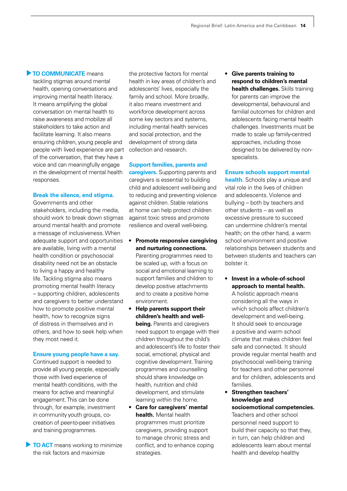### **TO COMMUNICATE** means

tackling stigmas around mental health, opening conversations and improving mental health literacy. It means amplifying the global conversation on mental health to raise awareness and mobilize all stakeholders to take action and facilitate learning. It also means ensuring children, young people and people with lived experience are part of the conversation, that they have a voice and can meaningfully engage in the development of mental health responses.

### **Break the silence, end stigma.**

Governments and other stakeholders, including the media, should work to break down stigmas around mental health and promote a message of inclusiveness. When adequate support and opportunities are available, living with a mental health condition or psychosocial disability need not be an obstacle to living a happy and healthy life. Tackling stigma also means promoting mental health literacy – supporting children, adolescents and caregivers to better understand how to promote positive mental health, how to recognize signs of distress in themselves and in others, and how to seek help when they most need it.

#### **Ensure young people have a say.**

Continued support is needed to provide all young people, especially those with lived experience of mental health conditions, with the means for active and meaningful engagement. This can be done through, for example, investment in community youth groups, cocreation of peer-to-peer initiatives and training programmes.

**TO ACT** means working to minimize the risk factors and maximize

the protective factors for mental health in key areas of children's and adolescents' lives, especially the family and school. More broadly, it also means investment and workforce development across some key sectors and systems, including mental health services and social protection, and the development of strong data collection and research.

### **Support families, parents and**

**caregivers.** Supporting parents and caregivers is essential to building child and adolescent well-being and to reducing and preventing violence against children. Stable relations at home can help protect children against toxic stress and promote resilience and overall well-being.

**• Promote responsive caregiving and nurturing connections.** 

Parenting programmes need to be scaled up, with a focus on social and emotional learning to support families and children to develop positive attachments and to create a positive home environment.

- **• Help parents support their children's health and wellbeing.** Parents and caregivers need support to engage with their children throughout the child's and adolescent's life to foster their social, emotional, physical and cognitive development. Training programmes and counselling should share knowledge on health, nutrition and child development, and stimulate learning within the home.
- **• Care for caregivers' mental health.** Mental health programmes must prioritize caregivers, providing support to manage chronic stress and conflict, and to enhance coping strategies.

**• Give parents training to respond to children's mental health challenges.** Skills training for parents can improve the developmental, behavioural and familial outcomes for children and adolescents facing mental health challenges. Investments must be made to scale up family-centred approaches, including those designed to be delivered by nonspecialists.

### **Ensure schools support mental**

**health.** Schools play a unique and vital role in the lives of children and adolescents. Violence and bullying – both by teachers and other students – as well as excessive pressure to succeed can undermine children's mental health; on the other hand, a warm school environment and positive relationships between students and between students and teachers can bolster it.

**• Invest in a whole-of-school approach to mental health.**

A holistic approach means considering all the ways in which schools affect children's development and well-being. It should seek to encourage a positive and warm school climate that makes children feel safe and connected. It should provide regular mental health and psychosocial well-being training for teachers and other personnel and for children, adolescents and families.

### **• Strengthen teachers' knowledge and socioemotional competencies.**

Teachers and other school personnel need support to build their capacity so that they, in turn, can help children and adolescents learn about mental health and develop healthy